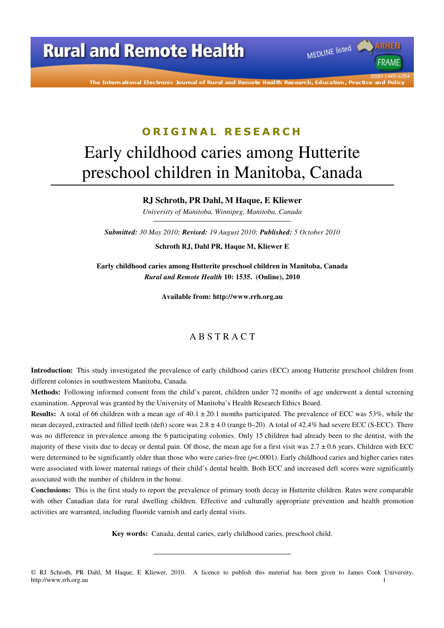The International Electronic Journal of Rural and Remote Health Research, Education, Practice and Policy

MEDLINE listed

**FRAME** 

# **O R I G I N A L R E S E A R C H** Early childhood caries among Hutterite preschool children in Manitoba, Canada

#### **RJ Schroth, PR Dahl, M Haque, E Kliewer**

*University of Manitoba, Winnipeg, Manitoba, Canada* 

*Submitted: 30 May 2010; Revised: 19 August 2010; Published: 5 October 2010* 

**Schroth RJ, Dahl PR, Haque M, Kliewer E** 

**Early childhood caries among Hutterite preschool children in Manitoba, Canada**  *Rural and Remote Health* **10: 1535. (Online), 2010** 

**Available from: http://www.rrh.org.au** 

#### A B S T R A C T

**Introduction:** This study investigated the prevalence of early childhood caries (ECC) among Hutterite preschool children from different colonies in southwestern Manitoba, Canada.

**Methods:** Following informed consent from the child's parent, children under 72 months of age underwent a dental screening examination. Approval was granted by the University of Manitoba's Health Research Ethics Board.

**Results:** A total of 66 children with a mean age of  $40.1 \pm 20.1$  months participated. The prevalence of ECC was 53%, while the mean decayed, extracted and filled teeth (deft) score was  $2.8 \pm 4.0$  (range 0–20). A total of 42.4% had severe ECC (S-ECC). There was no difference in prevalence among the 6 participating colonies. Only 15 children had already been to the dentist, with the majority of these visits due to decay or dental pain. Of those, the mean age for a first visit was  $2.7 \pm 0.6$  years. Children with ECC were determined to be significantly older than those who were caries-free ( $p<0.0001$ ). Early childhood caries and higher caries rates were associated with lower maternal ratings of their child's dental health. Both ECC and increased deft scores were significantly associated with the number of children in the home.

**Conclusions:** This is the first study to report the prevalence of primary tooth decay in Hutterite children. Rates were comparable with other Canadian data for rural dwelling children. Effective and culturally appropriate prevention and health promotion activities are warranted, including fluoride varnish and early dental visits.

**Key words:** Canada, dental caries, early childhood caries, preschool child.

<sup>©</sup> RJ Schroth, PR Dahl, M Haque, E Kliewer, 2010. A licence to publish this material has been given to James Cook University, http://www.rrh.org.au 1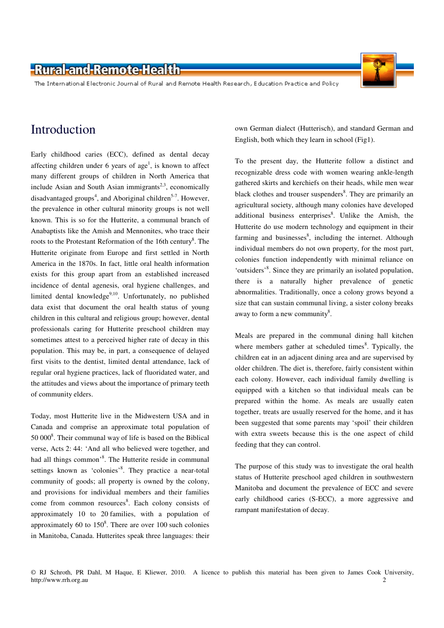The International Electronic Journal of Rural and Remote Health Research, Education Practice and Policy

# Introduction

Early childhood caries (ECC), defined as dental decay affecting children under  $6$  years of age<sup>1</sup>, is known to affect many different groups of children in North America that include Asian and South Asian immigrants<sup>2,3</sup>, economically disadvantaged groups<sup>4</sup>, and Aboriginal children<sup>5-7</sup>. However, the prevalence in other cultural minority groups is not well known. This is so for the Hutterite, a communal branch of Anabaptists like the Amish and Mennonites, who trace their roots to the Protestant Reformation of the 16th century<sup>8</sup>. The Hutterite originate from Europe and first settled in North America in the 1870s. In fact, little oral health information exists for this group apart from an established increased incidence of dental agenesis, oral hygiene challenges, and limited dental knowledge<sup>9,10</sup>. Unfortunately, no published data exist that document the oral health status of young children in this cultural and religious group; however, dental professionals caring for Hutterite preschool children may sometimes attest to a perceived higher rate of decay in this population. This may be, in part, a consequence of delayed first visits to the dentist, limited dental attendance, lack of regular oral hygiene practices, lack of fluoridated water, and the attitudes and views about the importance of primary teeth of community elders.

Today, most Hutterite live in the Midwestern USA and in Canada and comprise an approximate total population of 50 000<sup>8</sup>. Their communal way of life is based on the Biblical verse, Acts 2: 44: 'And all who believed were together, and had all things common'<sup>8</sup>. The Hutterite reside in communal settings known as 'colonies'<sup>8</sup>. They practice a near-total community of goods; all property is owned by the colony, and provisions for individual members and their families come from common resources<sup>8</sup>. Each colony consists of approximately 10 to 20 families, with a population of approximately 60 to  $150<sup>8</sup>$ . There are over 100 such colonies in Manitoba, Canada. Hutterites speak three languages: their

own German dialect (Hutterisch), and standard German and English, both which they learn in school (Fig1).

To the present day, the Hutterite follow a distinct and recognizable dress code with women wearing ankle-length gathered skirts and kerchiefs on their heads, while men wear black clothes and trouser suspenders<sup>8</sup>. They are primarily an agricultural society, although many colonies have developed additional business enterprises<sup>8</sup>. Unlike the Amish, the Hutterite do use modern technology and equipment in their farming and businesses<sup>8</sup>, including the internet. Although individual members do not own property, for the most part, colonies function independently with minimal reliance on 'outsiders'<sup>8</sup>. Since they are primarily an isolated population, there is a naturally higher prevalence of genetic abnormalities. Traditionally, once a colony grows beyond a size that can sustain communal living, a sister colony breaks away to form a new community $8$ .

Meals are prepared in the communal dining hall kitchen where members gather at scheduled times<sup>8</sup>. Typically, the children eat in an adjacent dining area and are supervised by older children. The diet is, therefore, fairly consistent within each colony. However, each individual family dwelling is equipped with a kitchen so that individual meals can be prepared within the home. As meals are usually eaten together, treats are usually reserved for the home, and it has been suggested that some parents may 'spoil' their children with extra sweets because this is the one aspect of child feeding that they can control.

The purpose of this study was to investigate the oral health status of Hutterite preschool aged children in southwestern Manitoba and document the prevalence of ECC and severe early childhood caries (S-ECC), a more aggressive and rampant manifestation of decay.

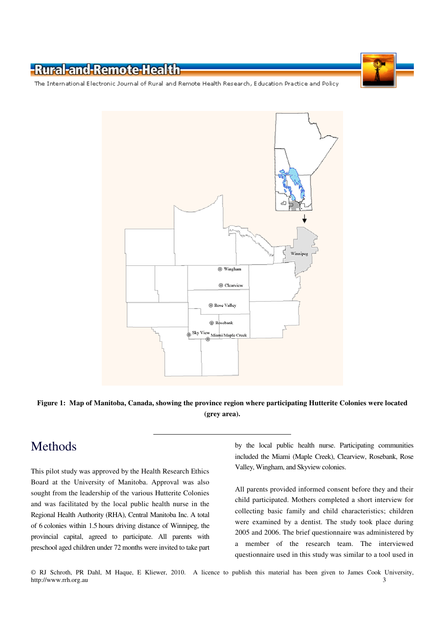The International Electronic Journal of Rural and Remote Health Research, Education Practice and Policy



**Figure 1: Map of Manitoba, Canada, showing the province region where participating Hutterite Colonies were located (grey area).** 

# Methods

This pilot study was approved by the Health Research Ethics Board at the University of Manitoba. Approval was also sought from the leadership of the various Hutterite Colonies and was facilitated by the local public health nurse in the Regional Health Authority (RHA), Central Manitoba Inc. A total of 6 colonies within 1.5 hours driving distance of Winnipeg, the provincial capital, agreed to participate. All parents with preschool aged children under 72 months were invited to take part by the local public health nurse. Participating communities included the Miami (Maple Creek), Clearview, Rosebank, Rose Valley, Wingham, and Skyview colonies.

All parents provided informed consent before they and their child participated. Mothers completed a short interview for collecting basic family and child characteristics; children were examined by a dentist. The study took place during 2005 and 2006. The brief questionnaire was administered by a member of the research team. The interviewed questionnaire used in this study was similar to a tool used in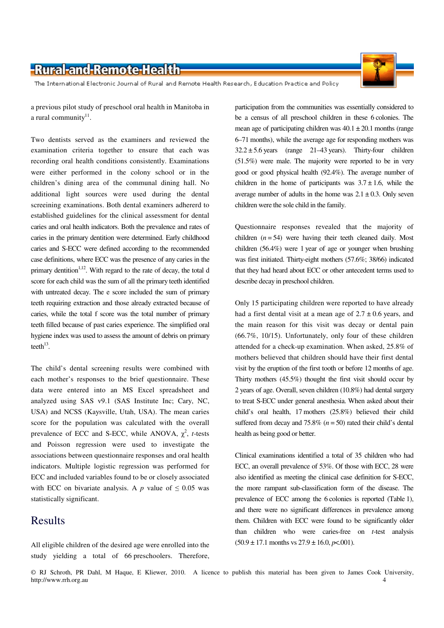The International Electronic Journal of Rural and Remote Health Research, Education Practice and Policy

a previous pilot study of preschool oral health in Manitoba in a rural community $11$ .

Two dentists served as the examiners and reviewed the examination criteria together to ensure that each was recording oral health conditions consistently. Examinations were either performed in the colony school or in the children's dining area of the communal dining hall. No additional light sources were used during the dental screeining examinations. Both dental examiners adhererd to established guidelines for the clinical assessment for dental caries and oral health indicators. Both the prevalence and rates of caries in the primary dentition were determined. Early childhood caries and S-ECC were defined according to the recommended case definitions, where ECC was the presence of any caries in the primary dentition<sup> $1,12$ </sup>. With regard to the rate of decay, the total d score for each child was the sum of all the primary teeth identified with untreated decay. The e score included the sum of primary teeth requiring extraction and those already extracted because of caries, while the total f score was the total number of primary teeth filled because of past caries experience. The simplified oral hygiene index was used to assess the amount of debris on primary teeth $13$ .

The child's dental screening results were combined with each mother's responses to the brief questionnaire. These data were entered into an MS Excel spreadsheet and analyzed using SAS v9.1 (SAS Institute Inc; Cary, NC, USA) and NCSS (Kaysville, Utah, USA). The mean caries score for the population was calculated with the overall prevalence of ECC and S-ECC, while ANOVA,  $\chi^2$ , *t*-tests and Poisson regression were used to investigate the associations between questionnaire responses and oral health indicators. Multiple logistic regression was performed for ECC and included variables found to be or closely associated with ECC on bivariate analysis. A *p* value of  $\leq 0.05$  was statistically significant.

#### Results

All eligible children of the desired age were enrolled into the study yielding a total of 66 preschoolers. Therefore,

participation from the communities was essentially considered to be a census of all preschool children in these 6 colonies. The mean age of participating children was  $40.1 \pm 20.1$  months (range 6–71 months), while the average age for responding mothers was  $32.2 \pm 5.6$  years (range 21–43 years). Thirty-four children (51.5%) were male. The majority were reported to be in very good or good physical health (92.4%). The average number of children in the home of participants was  $3.7 \pm 1.6$ , while the average number of adults in the home was  $2.1 \pm 0.3$ . Only seven children were the sole child in the family.

Questionnaire responses revealed that the majority of children  $(n = 54)$  were having their teeth cleaned daily. Most children (56.4%) were 1 year of age or younger when brushing was first initiated. Thirty-eight mothers (57.6%; 38/66) indicated that they had heard about ECC or other antecedent terms used to describe decay in preschool children.

Only 15 participating children were reported to have already had a first dental visit at a mean age of  $2.7 \pm 0.6$  years, and the main reason for this visit was decay or dental pain (66.7%, 10/15). Unfortunately, only four of these children attended for a check-up examination. When asked, 25.8% of mothers believed that children should have their first dental visit by the eruption of the first tooth or before 12 months of age. Thirty mothers (45.5%) thought the first visit should occur by 2 years of age. Overall, seven children (10.8%) had dental surgery to treat S-ECC under general anesthesia. When asked about their child's oral health, 17 mothers (25.8%) believed their child suffered from decay and  $75.8\%$  ( $n = 50$ ) rated their child's dental health as being good or better.

Clinical examinations identified a total of 35 children who had ECC, an overall prevalence of 53%. Of those with ECC, 28 were also identified as meeting the clinical case definition for S-ECC, the more rampant sub-classification form of the disease. The prevalence of ECC among the 6 colonies is reported (Table 1), and there were no significant differences in prevalence among them. Children with ECC were found to be significantly older than children who were caries-free on *t*-test analysis  $(50.9 \pm 17.1 \text{ months vs } 27.9 \pm 16.0, \text{ p} < 0.001).$ 

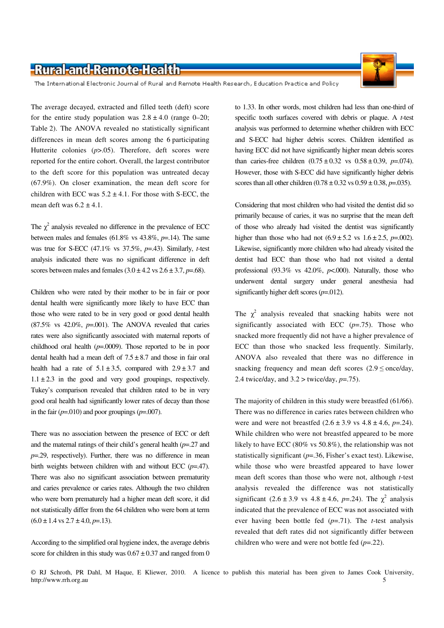

The International Electronic Journal of Rural and Remote Health Research, Education Practice and Policy

The average decayed, extracted and filled teeth (deft) score for the entire study population was  $2.8 \pm 4.0$  (range 0–20; Table 2). The ANOVA revealed no statistically significant differences in mean deft scores among the 6 participating Hutterite colonies ( $p$ >.05). Therefore, deft scores were reported for the entire cohort. Overall, the largest contributor to the deft score for this population was untreated decay (67.9%). On closer examination, the mean deft score for children with ECC was  $5.2 \pm 4.1$ . For those with S-ECC, the mean deft was  $6.2 \pm 4.1$ .

The  $\chi^2$  analysis revealed no difference in the prevalence of ECC between males and females (61.8% vs 43.8%, *p*=.14). The same was true for S-ECC (47.1% vs 37.5%, *p*=.43). Similarly, *t*-test analysis indicated there was no significant difference in deft scores between males and females  $(3.0 \pm 4.2 \text{ vs } 2.6 \pm 3.7, p=.68)$ .

Children who were rated by their mother to be in fair or poor dental health were significantly more likely to have ECC than those who were rated to be in very good or good dental health  $(87.5\%$  vs  $42.0\%$ ,  $p=.001$ ). The ANOVA revealed that caries rates were also significantly associated with maternal reports of childhood oral health (*p*=.0009). Those reported to be in poor dental health had a mean deft of  $7.5 \pm 8.7$  and those in fair oral health had a rate of  $5.1 \pm 3.5$ , compared with  $2.9 \pm 3.7$  and  $1.1 \pm 2.3$  in the good and very good groupings, respectively. Tukey's comparison revealed that children rated to be in very good oral health had significantly lower rates of decay than those in the fair  $(p=.010)$  and poor groupings  $(p=.007)$ .

There was no association between the presence of ECC or deft and the maternal ratings of their child's general health (*p*=.27 and *p*=.29, respectively). Further, there was no difference in mean birth weights between children with and without ECC (*p*=.47). There was also no significant association between prematurity and caries prevalence or caries rates. Although the two children who were born prematurely had a higher mean deft score, it did not statistically differ from the 64 children who were born at term  $(6.0 \pm 1.4 \text{ vs } 2.7 \pm 4.0, p=13).$ 

According to the simplified oral hygiene index, the average debris score for children in this study was  $0.67 \pm 0.37$  and ranged from 0 to 1.33. In other words, most children had less than one-third of specific tooth surfaces covered with debris or plaque. A *t*-test analysis was performed to determine whether children with ECC and S-ECC had higher debris scores. Children identified as having ECC did not have significantly higher mean debris scores than caries-free children  $(0.75 \pm 0.32 \text{ vs } 0.58 \pm 0.39, p=.074)$ . However, those with S-ECC did have significantly higher debris scores than all other children (0.78 ± 0.32 vs 0.59 ± 0.38, *p*=.035).

Considering that most children who had visited the dentist did so primarily because of caries, it was no surprise that the mean deft of those who already had visited the dentist was significantly higher than those who had not  $(6.9 \pm 5.2 \text{ vs } 1.6 \pm 2.5, p=.002)$ . Likewise, significantly more children who had already visited the dentist had ECC than those who had not visited a dental professional (93.3% vs 42.0%, *p*<.000). Naturally, those who underwent dental surgery under general anesthesia had significantly higher deft scores (*p*=.012).

The  $\chi^2$  analysis revealed that snacking habits were not significantly associated with ECC  $(p=0.75)$ . Those who snacked more frequently did not have a higher prevalence of ECC than those who snacked less frequently. Similarly, ANOVA also revealed that there was no difference in snacking frequency and mean deft scores  $(2.9 \leq$  once/day, 2.4 twice/day, and 3.2 > twice/day, *p*=.75).

The majority of children in this study were breastfed (61/66). There was no difference in caries rates between children who were and were not breastfed  $(2.6 \pm 3.9 \text{ vs } 4.8 \pm 4.6, p = .24)$ . While children who were not breastfed appeared to be more likely to have ECC (80% vs 50.8%), the relationship was not statistically significant (*p*=.36, Fisher's exact test). Likewise, while those who were breastfed appeared to have lower mean deft scores than those who were not, although *t*-test analysis revealed the difference was not statistically significant  $(2.6 \pm 3.9 \text{ vs } 4.8 \pm 4.6, p=.24)$ . The  $\chi^2$  analysis indicated that the prevalence of ECC was not associated with ever having been bottle fed (*p*=.71). The *t*-test analysis revealed that deft rates did not significantly differ between children who were and were not bottle fed (*p*=.22).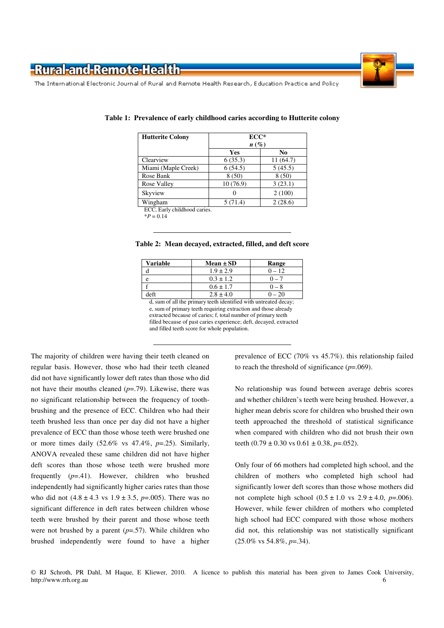



The International Electronic Journal of Rural and Remote Health Research, Education Practice and Policy

| <b>Hutterite Colony</b>      | $ECC*$             |           |  |  |  |
|------------------------------|--------------------|-----------|--|--|--|
|                              | $n\left(\%\right)$ |           |  |  |  |
|                              | Yes                | No        |  |  |  |
| Clearview                    | 6(35.3)            | 11 (64.7) |  |  |  |
| Miami (Maple Creek)          | 6(54.5)            | 5(45.5)   |  |  |  |
| Rose Bank                    | 8(50)              | 8(50)     |  |  |  |
| Rose Valley                  | 10(76.9)           | 3(23.1)   |  |  |  |
| Skyview                      | $\Omega$           | 2(100)    |  |  |  |
| Wingham                      | 5(71.4)            | 2(28.6)   |  |  |  |
| ECC, Early childhood caries. |                    |           |  |  |  |

|  |  | Table 1: Prevalence of early childhood caries according to Hutterite colony |
|--|--|-----------------------------------------------------------------------------|
|  |  |                                                                             |

 $*P = 0.14$ 

| <b>Variable</b> | $Mean \pm SD$ | Range    |
|-----------------|---------------|----------|
|                 | $1.9 \pm 2.9$ | $0 - 12$ |
|                 | $0.3 \pm 1.2$ |          |
|                 | $0.6 \pm 1.7$ |          |
| left            | $2.8 \pm 4.0$ |          |

**Table 2: Mean decayed, extracted, filled, and deft score** 

d, sum of all the primary teeth identified with untreated decay; e, sum of primary teeth requiring extraction and those already extracted because of caries; f, total number of primary teeth filled because of past caries experience; deft, decayed, extracted and filled teeth score for whole population.

The majority of children were having their teeth cleaned on regular basis. However, those who had their teeth cleaned did not have significantly lower deft rates than those who did not have their mouths cleaned (*p*=.79). Likewise, there was no significant relationship between the frequency of toothbrushing and the presence of ECC. Children who had their teeth brushed less than once per day did not have a higher prevalence of ECC than those whose teeth were brushed one or more times daily (52.6% vs 47.4%, *p*=.25). Similarly, ANOVA revealed these same children did not have higher deft scores than those whose teeth were brushed more frequently (*p*=.41). However, children who brushed independently had significantly higher caries rates than those who did not  $(4.8 \pm 4.3 \text{ vs } 1.9 \pm 3.5, p=0.005)$ . There was no significant difference in deft rates between children whose teeth were brushed by their parent and those whose teeth were not brushed by a parent (*p*=.57). While children who brushed independently were found to have a higher prevalence of ECC (70% vs 45.7%). this relationship failed to reach the threshold of significance  $(p=.069)$ .

No relationship was found between average debris scores and whether children's teeth were being brushed. However, a higher mean debris score for children who brushed their own teeth approached the threshold of statistical significance when compared with children who did not brush their own teeth  $(0.79 \pm 0.30 \text{ vs } 0.61 \pm 0.38, p=.052)$ .

Only four of 66 mothers had completed high school, and the children of mothers who completed high school had significantly lower deft scores than those whose mothers did not complete high school  $(0.5 \pm 1.0 \text{ vs } 2.9 \pm 4.0, p=.006)$ . However, while fewer children of mothers who completed high school had ECC compared with those whose mothers did not, this relationship was not statistically significant (25.0% vs 54.8%, *p*=.34).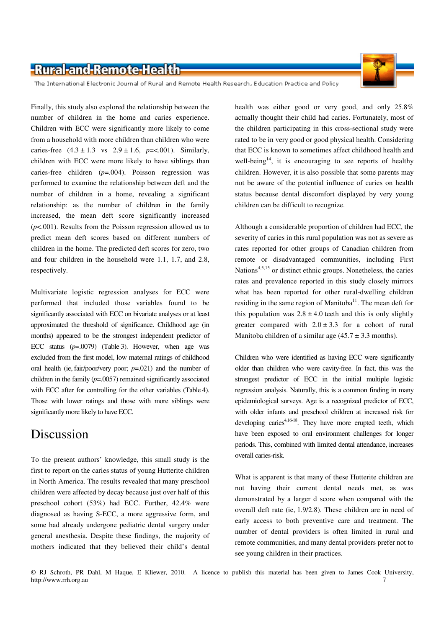

The International Electronic Journal of Rural and Remote Health Research, Education Practice and Policy

Finally, this study also explored the relationship between the number of children in the home and caries experience. Children with ECC were significantly more likely to come from a household with more children than children who were caries-free  $(4.3 \pm 1.3 \text{ vs } 2.9 \pm 1.6, p = < .001)$ . Similarly, children with ECC were more likely to have siblings than caries-free children (*p*=.004). Poisson regression was performed to examine the relationship between deft and the number of children in a home, revealing a significant relationship: as the number of children in the family increased, the mean deft score significantly increased (*p*<.001). Results from the Poisson regression allowed us to predict mean deft scores based on different numbers of children in the home. The predicted deft scores for zero, two and four children in the household were 1.1, 1.7, and 2.8, respectively.

Multivariate logistic regression analyses for ECC were performed that included those variables found to be significantly associated with ECC on bivariate analyses or at least approximated the threshold of significance. Childhood age (in months) appeared to be the strongest independent predictor of ECC status (*p*=.0079) (Table 3). However, when age was excluded from the first model, low maternal ratings of childhood oral health (ie, fair/poor/very poor; *p*=.021) and the number of children in the family (*p*=.0057) remained significantly associated with ECC after for controlling for the other variables (Table 4). Those with lower ratings and those with more siblings were significantly more likely to have ECC.

### Discussion

To the present authors' knowledge, this small study is the first to report on the caries status of young Hutterite children in North America. The results revealed that many preschool children were affected by decay because just over half of this preschool cohort (53%) had ECC. Further, 42.4% were diagnosed as having S-ECC, a more aggressive form, and some had already undergone pediatric dental surgery under general anesthesia. Despite these findings, the majority of mothers indicated that they believed their child's dental

health was either good or very good, and only 25.8% actually thought their child had caries. Fortunately, most of the children participating in this cross-sectional study were rated to be in very good or good physical health. Considering that ECC is known to sometimes affect childhood health and well-being<sup>14</sup>, it is encouraging to see reports of healthy children. However, it is also possible that some parents may not be aware of the potential influence of caries on health status because dental discomfort displayed by very young children can be difficult to recognize.

Although a considerable proportion of children had ECC, the severity of caries in this rural population was not as severe as rates reported for other groups of Canadian children from remote or disadvantaged communities, including First Nations<sup>4,5,15</sup> or distinct ethnic groups. Nonetheless, the caries rates and prevalence reported in this study closely mirrors what has been reported for other rural-dwelling children residing in the same region of Manitoba<sup>11</sup>. The mean deft for this population was  $2.8 \pm 4.0$  teeth and this is only slightly greater compared with  $2.0 \pm 3.3$  for a cohort of rural Manitoba children of a similar age  $(45.7 \pm 3.3 \text{ months})$ .

Children who were identified as having ECC were significantly older than children who were cavity-free. In fact, this was the strongest predictor of ECC in the initial multiple logistic regression analysis. Naturally, this is a common finding in many epidemiological surveys. Age is a recognized predictor of ECC, with older infants and preschool children at increased risk for developing caries<sup> $4,16-18$ </sup>. They have more erupted teeth, which have been exposed to oral environment challenges for longer periods. This, combined with limited dental attendance, increases overall caries-risk.

What is apparent is that many of these Hutterite children are not having their current dental needs met, as was demonstrated by a larger d score when compared with the overall deft rate (ie, 1.9/2.8). These children are in need of early access to both preventive care and treatment. The number of dental providers is often limited in rural and remote communities, and many dental providers prefer not to see young children in their practices.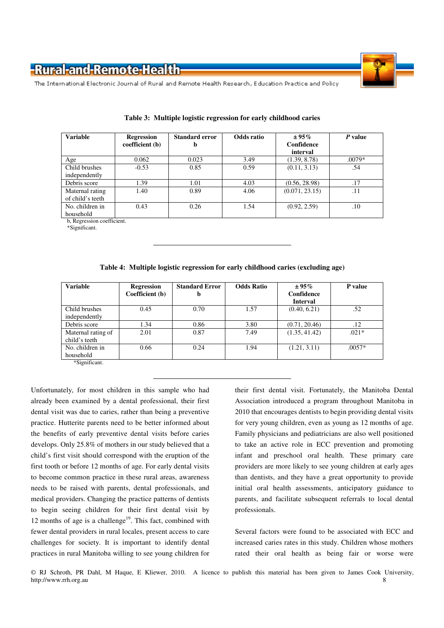

The International Electronic Journal of Rural and Remote Health Research, Education Practice and Policy

| <b>Variable</b>                     | Regression<br>coefficient (b) | <b>Standard error</b><br>b | Odds ratio | $± 95\%$<br>Confidence<br>interval | P value  |
|-------------------------------------|-------------------------------|----------------------------|------------|------------------------------------|----------|
| Age                                 | 0.062                         | 0.023                      | 3.49       | (1.39, 8.78)                       | $.0079*$ |
| Child brushes<br>independently      | $-0.53$                       | 0.85                       | 0.59       | (0.11, 3.13)                       | .54      |
| Debris score                        | 1.39                          | 1.01                       | 4.03       | (0.56, 28.98)                      | .17      |
| Maternal rating<br>of child's teeth | 1.40                          | 0.89                       | 4.06       | (0.071, 23.15)                     | .11      |
| No. children in<br>household        | 0.43                          | 0.26                       | 1.54       | (0.92, 2.59)                       | .10      |

|  | Table 3: Multiple logistic regression for early childhood caries |  |  |
|--|------------------------------------------------------------------|--|--|
|  |                                                                  |  |  |

b, Regression coefficient.

\*Significant.

**Table 4: Multiple logistic regression for early childhood caries (excluding age)** 

| <b>Variable</b>                     | <b>Regression</b> | <b>Standard Error</b> | <b>Odds Ratio</b> | $\pm 95\%$                    | P value  |
|-------------------------------------|-------------------|-----------------------|-------------------|-------------------------------|----------|
|                                     | Coefficient (b)   | b                     |                   | Confidence<br><b>Interval</b> |          |
| Child brushes<br>independently      | 0.45              | 0.70                  | 1.57              | (0.40, 6.21)                  | .52      |
| Debris score                        | 1.34              | 0.86                  | 3.80              | (0.71, 20.46)                 | .12      |
| Maternal rating of<br>child's teeth | 2.01              | 0.87                  | 7.49              | (1.35, 41.42)                 | $.021*$  |
| No. children in<br>household        | 0.66              | 0.24                  | 1.94              | (1.21, 3.11)                  | $.0057*$ |
| *Significant.                       |                   |                       |                   |                               |          |

Unfortunately, for most children in this sample who had already been examined by a dental professional, their first dental visit was due to caries, rather than being a preventive practice. Hutterite parents need to be better informed about the benefits of early preventive dental visits before caries develops. Only 25.8% of mothers in our study believed that a child's first visit should correspond with the eruption of the first tooth or before 12 months of age. For early dental visits to become common practice in these rural areas, awareness needs to be raised with parents, dental professionals, and medical providers. Changing the practice patterns of dentists to begin seeing children for their first dental visit by 12 months of age is a challenge<sup>19</sup>. This fact, combined with fewer dental providers in rural locales, present access to care challenges for society. It is important to identify dental practices in rural Manitoba willing to see young children for

their first dental visit. Fortunately, the Manitoba Dental Association introduced a program throughout Manitoba in 2010 that encourages dentists to begin providing dental visits for very young children, even as young as 12 months of age. Family physicians and pediatricians are also well positioned to take an active role in ECC prevention and promoting infant and preschool oral health. These primary care providers are more likely to see young children at early ages than dentists, and they have a great opportunity to provide initial oral health assessments, anticipatory guidance to parents, and facilitate subsequent referrals to local dental professionals.

Several factors were found to be associated with ECC and increased caries rates in this study. Children whose mothers rated their oral health as being fair or worse were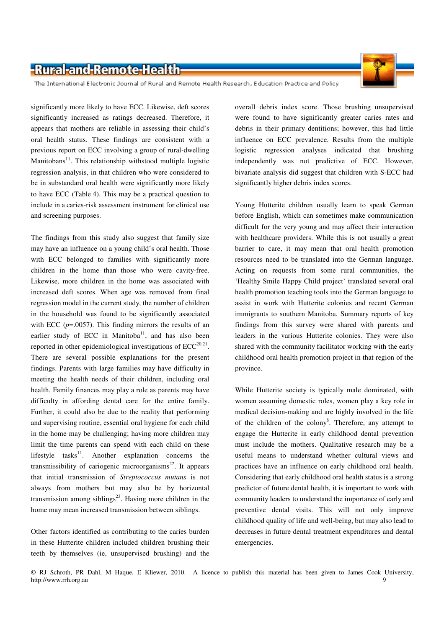

The International Electronic Journal of Rural and Remote Health Research, Education Practice and Policy

significantly more likely to have ECC. Likewise, deft scores significantly increased as ratings decreased. Therefore, it appears that mothers are reliable in assessing their child's oral health status. These findings are consistent with a previous report on ECC involving a group of rural-dwelling  $M$ anitobans<sup>11</sup>. This relationship withstood multiple logistic regression analysis, in that children who were considered to be in substandard oral health were significantly more likely to have ECC (Table 4). This may be a practical question to include in a caries-risk assessment instrument for clinical use and screening purposes.

The findings from this study also suggest that family size may have an influence on a young child's oral health. Those with ECC belonged to families with significantly more children in the home than those who were cavity-free. Likewise, more children in the home was associated with increased deft scores. When age was removed from final regression model in the current study, the number of children in the household was found to be significantly associated with ECC  $(p=.0057)$ . This finding mirrors the results of an earlier study of ECC in Manitoba $11$ , and has also been reported in other epidemiological investigations of  $ECC^{20,21}$ . There are several possible explanations for the present findings. Parents with large families may have difficulty in meeting the health needs of their children, including oral health. Family finances may play a role as parents may have difficulty in affording dental care for the entire family. Further, it could also be due to the reality that performing and supervising routine, essential oral hygiene for each child in the home may be challenging; having more children may limit the time parents can spend with each child on these lifestyle tasks $11$ . Another explanation concerns the transmissibility of cariogenic microorganisms $^{22}$ . It appears that initial transmission of *Streptococcus mutans* is not always from mothers but may also be by horizontal transmission among siblings<sup>23</sup>. Having more children in the home may mean increased transmission between siblings.

Other factors identified as contributing to the caries burden in these Hutterite children included children brushing their teeth by themselves (ie, unsupervised brushing) and the

overall debris index score. Those brushing unsupervised were found to have significantly greater caries rates and debris in their primary dentitions; however, this had little influence on ECC prevalence. Results from the multiple logistic regression analyses indicated that brushing independently was not predictive of ECC. However, bivariate analysis did suggest that children with S-ECC had significantly higher debris index scores.

Young Hutterite children usually learn to speak German before English, which can sometimes make communication difficult for the very young and may affect their interaction with healthcare providers. While this is not usually a great barrier to care, it may mean that oral health promotion resources need to be translated into the German language. Acting on requests from some rural communities, the 'Healthy Smile Happy Child project' translated several oral health promotion teaching tools into the German language to assist in work with Hutterite colonies and recent German immigrants to southern Manitoba. Summary reports of key findings from this survey were shared with parents and leaders in the various Hutterite colonies. They were also shared with the community facilitator working with the early childhood oral health promotion project in that region of the province.

While Hutterite society is typically male dominated, with women assuming domestic roles, women play a key role in medical decision-making and are highly involved in the life of the children of the colony<sup>8</sup>. Therefore, any attempt to engage the Hutterite in early childhood dental prevention must include the mothers. Qualitative research may be a useful means to understand whether cultural views and practices have an influence on early childhood oral health. Considering that early childhood oral health status is a strong predictor of future dental health, it is important to work with community leaders to understand the importance of early and preventive dental visits. This will not only improve childhood quality of life and well-being, but may also lead to decreases in future dental treatment expenditures and dental emergencies.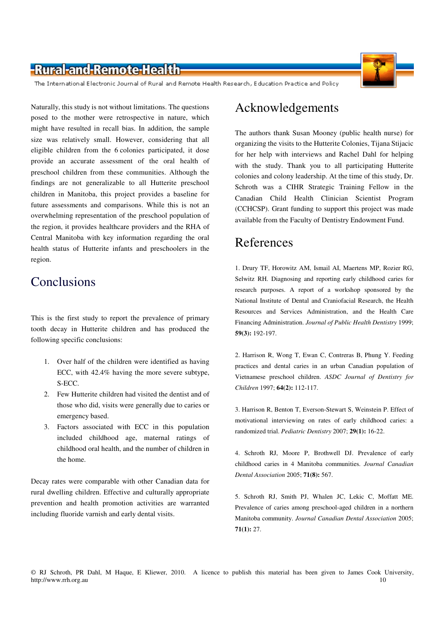

The International Electronic Journal of Rural and Remote Health Research, Education Practice and Policy

Naturally, this study is not without limitations. The questions posed to the mother were retrospective in nature, which might have resulted in recall bias. In addition, the sample size was relatively small. However, considering that all eligible children from the 6 colonies participated, it dose provide an accurate assessment of the oral health of preschool children from these communities. Although the findings are not generalizable to all Hutterite preschool children in Manitoba, this project provides a baseline for future assessments and comparisons. While this is not an overwhelming representation of the preschool population of the region, it provides healthcare providers and the RHA of Central Manitoba with key information regarding the oral health status of Hutterite infants and preschoolers in the region.

# **Conclusions**

This is the first study to report the prevalence of primary tooth decay in Hutterite children and has produced the following specific conclusions:

- 1. Over half of the children were identified as having ECC, with 42.4% having the more severe subtype, S-ECC.
- 2. Few Hutterite children had visited the dentist and of those who did, visits were generally due to caries or emergency based.
- 3. Factors associated with ECC in this population included childhood age, maternal ratings of childhood oral health, and the number of children in the home.

Decay rates were comparable with other Canadian data for rural dwelling children. Effective and culturally appropriate prevention and health promotion activities are warranted including fluoride varnish and early dental visits.

# Acknowledgements

The authors thank Susan Mooney (public health nurse) for organizing the visits to the Hutterite Colonies, Tijana Stijacic for her help with interviews and Rachel Dahl for helping with the study. Thank you to all participating Hutterite colonies and colony leadership. At the time of this study, Dr. Schroth was a CIHR Strategic Training Fellow in the Canadian Child Health Clinician Scientist Program (CCHCSP). Grant funding to support this project was made available from the Faculty of Dentistry Endowment Fund.

## References

1. Drury TF, Horowitz AM, Ismail AI, Maertens MP, Rozier RG, Selwitz RH. Diagnosing and reporting early childhood caries for research purposes. A report of a workshop sponsored by the National Institute of Dental and Craniofacial Research, the Health Resources and Services Administration, and the Health Care Financing Administration. *Journal of Public Health Dentistry* 1999; **59(3):** 192-197.

2. Harrison R, Wong T, Ewan C, Contreras B, Phung Y. Feeding practices and dental caries in an urban Canadian population of Vietnamese preschool children. *ASDC Journal of Dentistry for Children* 1997; **64(2):** 112-117.

3. Harrison R, Benton T, Everson-Stewart S, Weinstein P. Effect of motivational interviewing on rates of early childhood caries: a randomized trial. *Pediatric Dentistry* 2007; **29(1):** 16-22.

4. Schroth RJ, Moore P, Brothwell DJ. Prevalence of early childhood caries in 4 Manitoba communities. *Journal Canadian Dental Association* 2005; **71(8):** 567.

5. Schroth RJ, Smith PJ, Whalen JC, Lekic C, Moffatt ME. Prevalence of caries among preschool-aged children in a northern Manitoba community. *Journal Canadian Dental Association* 2005; **71(1):** 27.